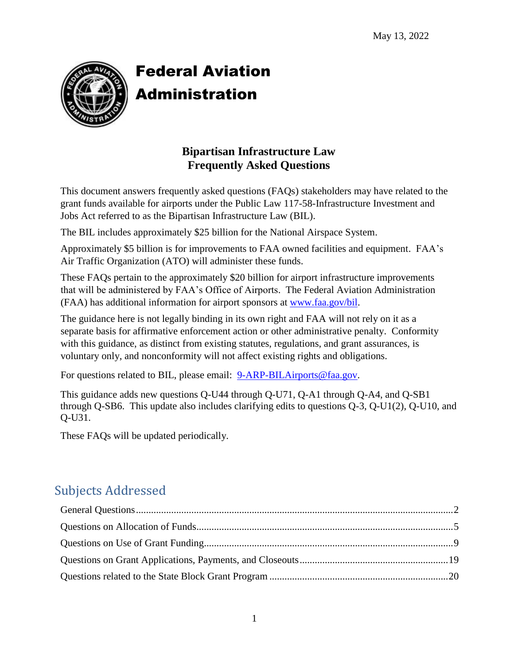

# Federal Aviation Administration

## **Bipartisan Infrastructure Law Frequently Asked Questions**

This document answers frequently asked questions (FAQs) stakeholders may have related to the grant funds available for airports under the Public Law 117-58-Infrastructure Investment and Jobs Act referred to as the Bipartisan Infrastructure Law (BIL).

The BIL includes approximately \$25 billion for the National Airspace System.

Approximately \$5 billion is for improvements to FAA owned facilities and equipment. FAA's Air Traffic Organization (ATO) will administer these funds.

These FAQs pertain to the approximately \$20 billion for airport infrastructure improvements that will be administered by FAA's Office of Airports. The Federal Aviation Administration (FAA) has additional information for airport sponsors at [www.faa.gov/bil.](http://www.faa.gov/bil)

The guidance here is not legally binding in its own right and FAA will not rely on it as a separate basis for affirmative enforcement action or other administrative penalty. Conformity with this guidance, as distinct from existing statutes, regulations, and grant assurances, is voluntary only, and nonconformity will not affect existing rights and obligations.

For questions related to BIL, please email: [9-ARP-BILAirports@faa.gov.](mailto:9-ARP-BILAirports@faa.gov)

This guidance adds new questions Q-U44 through Q-U71, Q-A1 through Q-A4, and Q-SB1 through Q-SB6. This update also includes clarifying edits to questions Q-3, Q-U1(2), Q-U10, and Q-U31.

These FAQs will be updated periodically.

## Subjects Addressed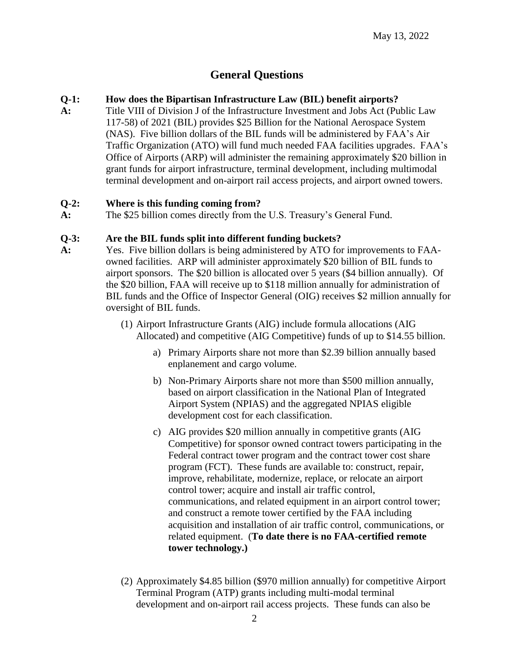## **General Questions**

#### <span id="page-1-0"></span>**Q-1: How does the Bipartisan Infrastructure Law (BIL) benefit airports?**

**A:** Title VIII of Division J of the Infrastructure Investment and Jobs Act (Public Law 117-58) of 2021 (BIL) provides \$25 Billion for the National Aerospace System (NAS). Five billion dollars of the BIL funds will be administered by FAA's Air Traffic Organization (ATO) will fund much needed FAA facilities upgrades. FAA's Office of Airports (ARP) will administer the remaining approximately \$20 billion in grant funds for airport infrastructure, terminal development, including multimodal terminal development and on-airport rail access projects, and airport owned towers.

#### **Q-2: Where is this funding coming from?**

**A:** The \$25 billion comes directly from the U.S. Treasury's General Fund.

#### **Q-3: Are the BIL funds split into different funding buckets?**

- **A:** Yes.Five billion dollars is being administered by ATO for improvements to FAAowned facilities. ARP will administer approximately \$20 billion of BIL funds to airport sponsors. The \$20 billion is allocated over 5 years (\$4 billion annually). Of the \$20 billion, FAA will receive up to \$118 million annually for administration of BIL funds and the Office of Inspector General (OIG) receives \$2 million annually for oversight of BIL funds.
	- (1) Airport Infrastructure Grants (AIG) include formula allocations (AIG Allocated) and competitive (AIG Competitive) funds of up to \$14.55 billion.
		- a) Primary Airports share not more than \$2.39 billion annually based enplanement and cargo volume.
		- b) Non-Primary Airports share not more than \$500 million annually, based on airport classification in the National Plan of Integrated Airport System (NPIAS) and the aggregated NPIAS eligible development cost for each classification.
		- c) AIG provides \$20 million annually in competitive grants (AIG Competitive) for sponsor owned contract towers participating in the Federal contract tower program and the contract tower cost share program (FCT). These funds are available to: construct, repair, improve, rehabilitate, modernize, replace, or relocate an airport control tower; acquire and install air traffic control, communications, and related equipment in an airport control tower; and construct a remote tower certified by the FAA including acquisition and installation of air traffic control, communications, or related equipment. (**To date there is no FAA-certified remote tower technology.)**
	- (2) Approximately \$4.85 billion (\$970 million annually) for competitive Airport Terminal Program (ATP) grants including multi-modal terminal development and on-airport rail access projects. These funds can also be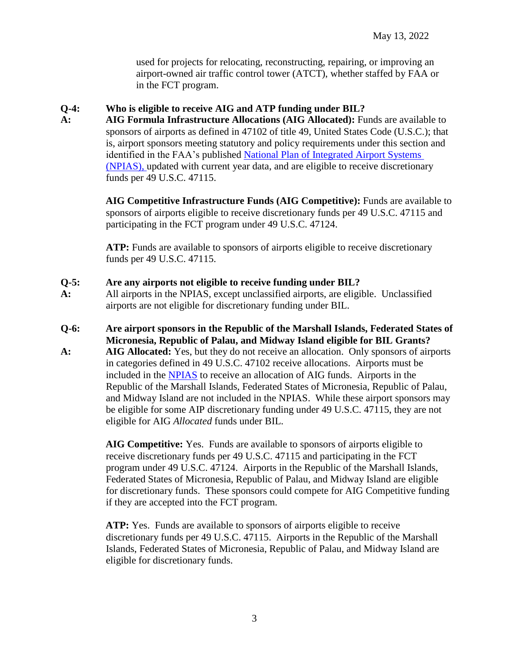used for projects for relocating, reconstructing, repairing, or improving an airport-owned air traffic control tower (ATCT), whether staffed by FAA or in the FCT program.

#### **Q-4: Who is eligible to receive AIG and ATP funding under BIL?**

**A: AIG Formula Infrastructure Allocations (AIG Allocated):** Funds are available to sponsors of airports as defined in 47102 of title 49, United States Code (U.S.C.); that is, airport sponsors meeting statutory and policy requirements under this section and identified in the FAA's published National Plan of [Integrated Airport Systems](https://www.faa.gov/airports/planning_capacity/npias/)  [\(NPIAS\),](https://www.faa.gov/airports/planning_capacity/npias/) updated with current year data, and are eligible to receive discretionary funds per 49 U.S.C. 47115.

> **AIG Competitive Infrastructure Funds (AIG Competitive):** Funds are available to sponsors of airports eligible to receive discretionary funds per 49 U.S.C. 47115 and participating in the FCT program under 49 U.S.C. 47124.

**ATP:** Funds are available to sponsors of airports eligible to receive discretionary funds per 49 U.S.C. 47115.

#### **Q-5: Are any airports not eligible to receive funding under BIL?**

- **A:** All airports in the NPIAS, except unclassified airports, are eligible. Unclassified airports are not eligible for discretionary funding under BIL.
- **Q-6: Are airport sponsors in the Republic of the Marshall Islands, Federated States of Micronesia, Republic of Palau, and Midway Island eligible for BIL Grants?**
- **A: AIG Allocated:** Yes, but they do not receive an allocation. Only sponsors of airports in categories defined in 49 U.S.C. 47102 receive allocations. Airports must be included in the [NPIAS](https://www.faa.gov/airports/planning_capacity/npias/) to receive an allocation of AIG funds. Airports in the Republic of the Marshall Islands, Federated States of Micronesia, Republic of Palau, and Midway Island are not included in the NPIAS. While these airport sponsors may be eligible for some AIP discretionary funding under 49 U.S.C. 47115, they are not eligible for AIG *Allocated* funds under BIL.

**AIG Competitive:** Yes. Funds are available to sponsors of airports eligible to receive discretionary funds per 49 U.S.C. 47115 and participating in the FCT program under 49 U.S.C. 47124. Airports in the Republic of the Marshall Islands, Federated States of Micronesia, Republic of Palau, and Midway Island are eligible for discretionary funds. These sponsors could compete for AIG Competitive funding if they are accepted into the FCT program.

**ATP:** Yes. Funds are available to sponsors of airports eligible to receive discretionary funds per 49 U.S.C. 47115. Airports in the Republic of the Marshall Islands, Federated States of Micronesia, Republic of Palau, and Midway Island are eligible for discretionary funds.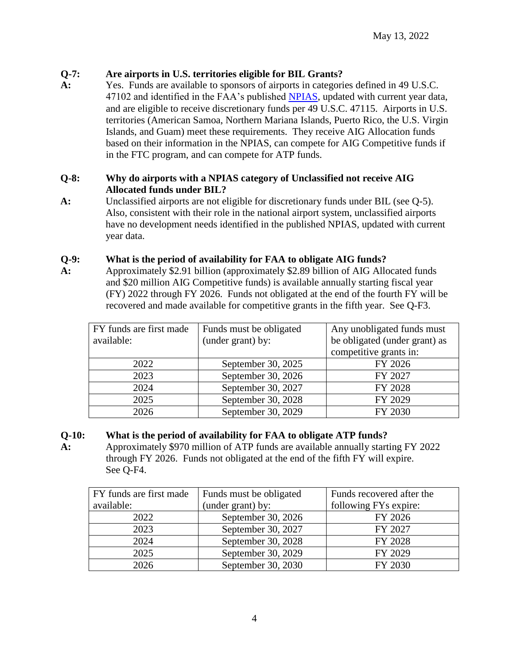#### **Q-7: Are airports in U.S. territories eligible for BIL Grants?**

**A:** Yes. Funds are available to sponsors of airports in categories defined in 49 U.S.C. 47102 and identified in the FAA's published [NPIAS,](https://www.faa.gov/airports/planning_capacity/npias/) updated with current year data, and are eligible to receive discretionary funds per 49 U.S.C. 47115. Airports in U.S. territories (American Samoa, Northern Mariana Islands, Puerto Rico, the U.S. Virgin Islands, and Guam) meet these requirements. They receive AIG Allocation funds based on their information in the NPIAS, can compete for AIG Competitive funds if in the FTC program, and can compete for ATP funds.

#### **Q-8: Why do airports with a NPIAS category of Unclassified not receive AIG Allocated funds under BIL?**

**A:** Unclassified airports are not eligible for discretionary funds under BIL (see Q-5). Also, consistent with their role in the national airport system, unclassified airports have no development needs identified in the published NPIAS, updated with current year data.

#### **Q-9: What is the period of availability for FAA to obligate AIG funds?**

**A:** Approximately \$2.91 billion (approximately \$2.89 billion of AIG Allocated funds and \$20 million AIG Competitive funds) is available annually starting fiscal year (FY) 2022 through FY 2026. Funds not obligated at the end of the fourth FY will be recovered and made available for competitive grants in the fifth year. See Q-F3.

| FY funds are first made | Funds must be obligated | Any unobligated funds must    |
|-------------------------|-------------------------|-------------------------------|
| available:              | (under grant) by:       | be obligated (under grant) as |
|                         |                         | competitive grants in:        |
| 2022                    | September 30, 2025      | FY 2026                       |
| 2023                    | September 30, 2026      | FY 2027                       |
| 2024                    | September 30, 2027      | FY 2028                       |
| 2025                    | September 30, 2028      | FY 2029                       |
| 2026                    | September 30, 2029      | FY 2030                       |

#### **Q-10: What is the period of availability for FAA to obligate ATP funds?**

**A:** Approximately \$970 million of ATP funds are available annually starting FY 2022 through FY 2026. Funds not obligated at the end of the fifth FY will expire. See Q-F4.

| FY funds are first made | Funds must be obligated | Funds recovered after the |
|-------------------------|-------------------------|---------------------------|
| available:              | (under grant) by:       | following FYs expire:     |
| 2022                    | September 30, 2026      | FY 2026                   |
| 2023                    | September 30, 2027      | FY 2027                   |
| 2024                    | September 30, 2028      | FY 2028                   |
| 2025                    | September 30, 2029      | FY 2029                   |
| 2026                    | September 30, 2030      | FY 2030                   |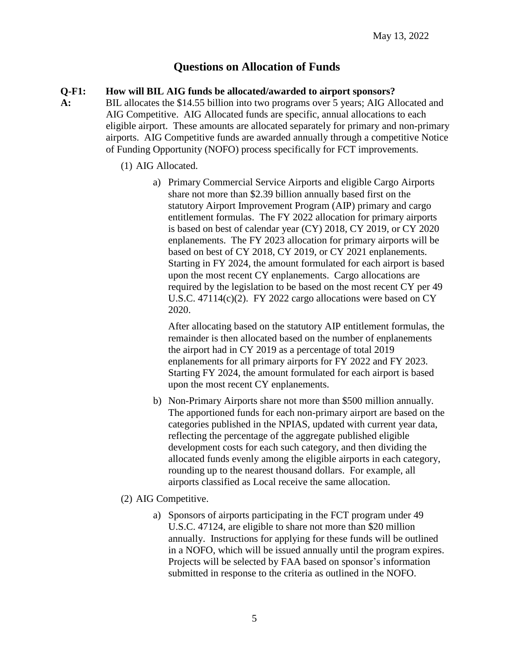## **Questions on Allocation of Funds**

#### <span id="page-4-0"></span>**Q-F1: How will BIL AIG funds be allocated/awarded to airport sponsors?**

- **A:** BIL allocates the \$14.55 billion into two programs over 5 years; AIG Allocated and AIG Competitive. AIG Allocated funds are specific, annual allocations to each eligible airport. These amounts are allocated separately for primary and non-primary airports. AIG Competitive funds are awarded annually through a competitive Notice of Funding Opportunity (NOFO) process specifically for FCT improvements.
	- (1) AIG Allocated.
		- a) Primary Commercial Service Airports and eligible Cargo Airports share not more than \$2.39 billion annually based first on the statutory Airport Improvement Program (AIP) primary and cargo entitlement formulas. The FY 2022 allocation for primary airports is based on best of calendar year (CY) 2018, CY 2019, or CY 2020 enplanements. The FY 2023 allocation for primary airports will be based on best of CY 2018, CY 2019, or CY 2021 enplanements. Starting in FY 2024, the amount formulated for each airport is based upon the most recent CY enplanements. Cargo allocations are required by the legislation to be based on the most recent CY per 49 U.S.C. 47114(c)(2). FY 2022 cargo allocations were based on CY 2020.

After allocating based on the statutory AIP entitlement formulas, the remainder is then allocated based on the number of enplanements the airport had in CY 2019 as a percentage of total 2019 enplanements for all primary airports for FY 2022 and FY 2023. Starting FY 2024, the amount formulated for each airport is based upon the most recent CY enplanements.

- b) Non-Primary Airports share not more than \$500 million annually. The apportioned funds for each non-primary airport are based on the categories published in the NPIAS, updated with current year data, reflecting the percentage of the aggregate published eligible development costs for each such category, and then dividing the allocated funds evenly among the eligible airports in each category, rounding up to the nearest thousand dollars. For example, all airports classified as Local receive the same allocation.
- (2) AIG Competitive.
	- a) Sponsors of airports participating in the FCT program under 49 U.S.C. 47124, are eligible to share not more than \$20 million annually. Instructions for applying for these funds will be outlined in a NOFO, which will be issued annually until the program expires. Projects will be selected by FAA based on sponsor's information submitted in response to the criteria as outlined in the NOFO.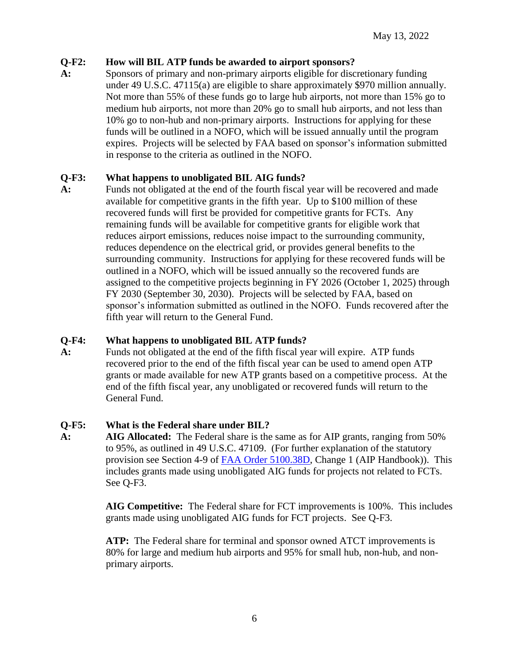#### **Q-F2: How will BIL ATP funds be awarded to airport sponsors?**

**A:** Sponsors of primary and non-primary airports eligible for discretionary funding under 49 U.S.C. 47115(a) are eligible to share approximately \$970 million annually. Not more than 55% of these funds go to large hub airports, not more than 15% go to medium hub airports, not more than 20% go to small hub airports, and not less than 10% go to non-hub and non-primary airports. Instructions for applying for these funds will be outlined in a NOFO, which will be issued annually until the program expires. Projects will be selected by FAA based on sponsor's information submitted in response to the criteria as outlined in the NOFO.

#### **Q-F3: What happens to unobligated BIL AIG funds?**

**A:** Funds not obligated at the end of the fourth fiscal year will be recovered and made available for competitive grants in the fifth year. Up to \$100 million of these recovered funds will first be provided for competitive grants for FCTs. Any remaining funds will be available for competitive grants for eligible work that reduces airport emissions, reduces noise impact to the surrounding community, reduces dependence on the electrical grid, or provides general benefits to the surrounding community. Instructions for applying for these recovered funds will be outlined in a NOFO, which will be issued annually so the recovered funds are assigned to the competitive projects beginning in FY 2026 (October 1, 2025) through FY 2030 (September 30, 2030). Projects will be selected by FAA, based on sponsor's information submitted as outlined in the NOFO. Funds recovered after the fifth year will return to the General Fund.

#### **Q-F4: What happens to unobligated BIL ATP funds?**

**A:** Funds not obligated at the end of the fifth fiscal year will expire. ATP funds recovered prior to the end of the fifth fiscal year can be used to amend open ATP grants or made available for new ATP grants based on a competitive process. At the end of the fifth fiscal year, any unobligated or recovered funds will return to the General Fund.

### **Q-F5: What is the Federal share under BIL?**

**A: AIG Allocated:** The Federal share is the same as for AIP grants, ranging from 50% to 95%, as outlined in 49 U.S.C. 47109. (For further explanation of the statutory provision see Section 4-9 of [FAA Order 5100.38D,](https://www.faa.gov/airports/aip/aip_handbook/) Change 1 (AIP Handbook)). This includes grants made using unobligated AIG funds for projects not related to FCTs. See Q-F3.

> **AIG Competitive:** The Federal share for FCT improvements is 100%. This includes grants made using unobligated AIG funds for FCT projects. See Q-F3.

**ATP:** The Federal share for terminal and sponsor owned ATCT improvements is 80% for large and medium hub airports and 95% for small hub, non-hub, and nonprimary airports.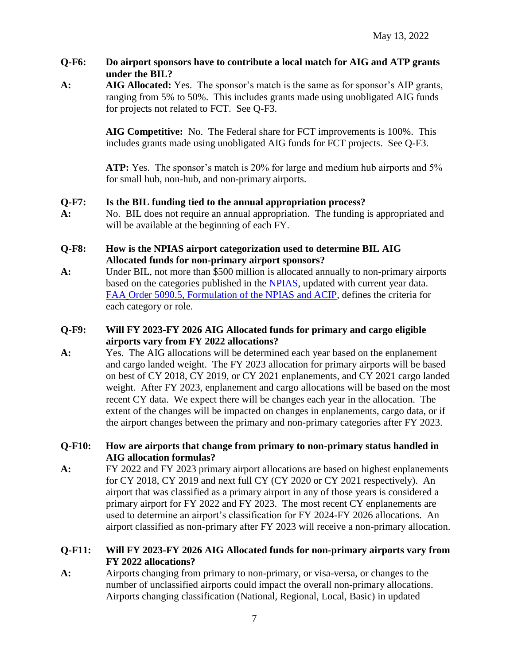#### Q-F6: Do airport sponsors have to contribute a local match for AIG and ATP grants **under the BIL?**

**A: AIG Allocated:** Yes. The sponsor's match is the same as for sponsor's AIP grants, ranging from 5% to 50%. This includes grants made using unobligated AIG funds for projects not related to FCT. See Q-F3.

> **AIG Competitive:** No. The Federal share for FCT improvements is 100%. This includes grants made using unobligated AIG funds for FCT projects. See Q-F3.

**ATP:** Yes. The sponsor's match is 20% for large and medium hub airports and 5% for small hub, non-hub, and non-primary airports.

#### **Q-F7: Is the BIL funding tied to the annual appropriation process?**

- **A:** No. BIL does not require an annual appropriation. The funding is appropriated and will be available at the beginning of each FY.
- **Q-F8: How is the NPIAS airport categorization used to determine BIL AIG Allocated funds for non-primary airport sponsors?**
- **A:** Under BIL, not more than \$500 million is allocated annually to non-primary airports based on the categories published in the [NPIAS,](https://www.faa.gov/airports/planning_capacity/npias/) updated with current year data. FAA [Order 5090.5, Formulation of the NPIAS and ACIP,](https://www.faa.gov/regulations_policies/orders_notices/index.cfm/go/document.information/documentID/1036630) defines the criteria for each category or role.

#### **Q-F9: Will FY 2023-FY 2026 AIG Allocated funds for primary and cargo eligible airports vary from FY 2022 allocations?**

**A:** Yes. The AIG allocations will be determined each year based on the enplanement and cargo landed weight.The FY 2023 allocation for primary airports will be based on best of CY 2018, CY 2019, or CY 2021 enplanements, and CY 2021 cargo landed weight. After FY 2023, enplanement and cargo allocations will be based on the most recent CY data. We expect there will be changes each year in the allocation. The extent of the changes will be impacted on changes in enplanements, cargo data, or if the airport changes between the primary and non-primary categories after FY 2023.

#### **Q-F10: How are airports that change from primary to non-primary status handled in AIG allocation formulas?**

**A:** FY 2022 and FY 2023 primary airport allocations are based on highest enplanements for CY 2018, CY 2019 and next full CY (CY 2020 or CY 2021 respectively). An airport that was classified as a primary airport in any of those years is considered a primary airport for FY 2022 and FY 2023. The most recent CY enplanements are used to determine an airport's classification for FY 2024-FY 2026 allocations. An airport classified as non-primary after FY 2023 will receive a non-primary allocation.

#### **Q-F11: Will FY 2023-FY 2026 AIG Allocated funds for non-primary airports vary from FY 2022 allocations?**

**A:** Airports changing from primary to non-primary, or visa-versa, or changes to the number of unclassified airports could impact the overall non-primary allocations. Airports changing classification (National, Regional, Local, Basic) in updated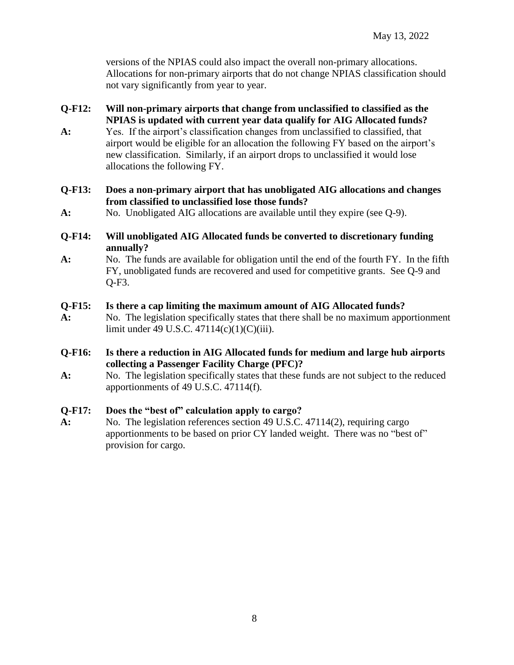versions of the NPIAS could also impact the overall non-primary allocations. Allocations for non-primary airports that do not change NPIAS classification should not vary significantly from year to year.

- **Q-F12: Will non-primary airports that change from unclassified to classified as the NPIAS is updated with current year data qualify for AIG Allocated funds?**
- **A:** Yes. If the airport's classification changes from unclassified to classified, that airport would be eligible for an allocation the following FY based on the airport's new classification. Similarly, if an airport drops to unclassified it would lose allocations the following FY.
- **Q-F13: Does a non-primary airport that has unobligated AIG allocations and changes from classified to unclassified lose those funds?**
- **A:** No. Unobligated AIG allocations are available until they expire (see Q-9).
- **Q-F14: Will unobligated AIG Allocated funds be converted to discretionary funding annually?**
- **A:** No.The funds are available for obligation until the end of the fourth FY. In the fifth FY, unobligated funds are recovered and used for competitive grants. See Q-9 and Q-F3.

#### **Q-F15: Is there a cap limiting the maximum amount of AIG Allocated funds?**

- **A:** No.The legislation specifically states that there shall be no maximum apportionment limit under 49 U.S.C. 47114(c)(1)(C)(iii).
- **Q-F16: Is there a reduction in AIG Allocated funds for medium and large hub airports collecting a Passenger Facility Charge (PFC)?**
- **A:** No.The legislation specifically states that these funds are not subject to the reduced apportionments of 49 U.S.C. 47114(f).

#### **Q-F17: Does the "best of" calculation apply to cargo?**

**A:** No.The legislation references section 49 U.S.C. 47114(2), requiring cargo apportionments to be based on prior CY landed weight. There was no "best of" provision for cargo.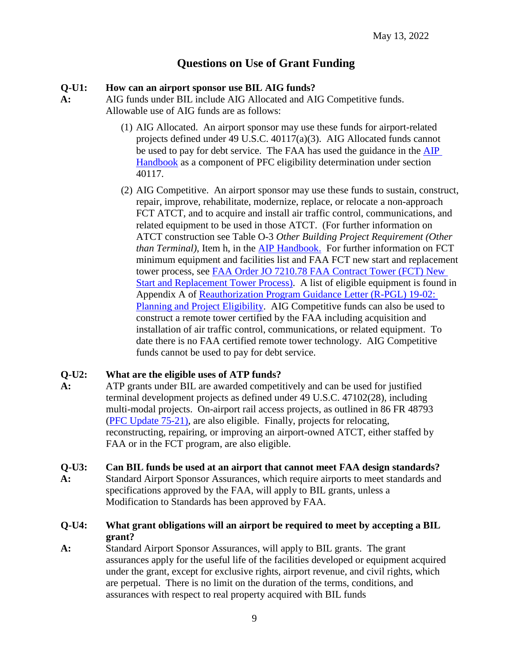## **Questions on Use of Grant Funding**

#### <span id="page-8-0"></span>**Q-U1: How can an airport sponsor use BIL AIG funds?**

- **A:** AIG funds under BIL include AIG Allocated and AIG Competitive funds. Allowable use of AIG funds are as follows:
	- (1) AIG Allocated. An airport sponsor may use these funds for airport-related projects defined under 49 U.S.C. 40117(a)(3). AIG Allocated funds cannot be used to pay for debt service. The FAA has used the guidance in the [AIP](https://www.faa.gov/airports/aip/aip_handbook/)  [Handbook](https://www.faa.gov/airports/aip/aip_handbook/) as a component of PFC eligibility determination under section 40117.
	- (2) AIG Competitive. An airport sponsor may use these funds to sustain, construct, repair, improve, rehabilitate, modernize, replace, or relocate a non-approach FCT ATCT, and to acquire and install air traffic control, communications, and related equipment to be used in those ATCT. (For further information on ATCT construction see Table O-3 *Other Building Project Requirement (Other than Terminal*), Item h, in the [AIP Handbook.](https://www.faa.gov/airports/aip/aip_handbook/) For further information on FCT minimum equipment and facilities list and FAA FCT new start and replacement tower process, see [FAA Order JO 7210.78 FAA Contract Tower \(FCT\) New](https://www.faa.gov/regulations_policies/orders_notices/)  [Start and Replacement Tower Process\)](https://www.faa.gov/regulations_policies/orders_notices/). A list of eligible equipment is found in Appendix A of [Reauthorization Program Guidance Letter \(R-PGL\) 19-02:](https://www.faa.gov/airports/aip/guidance_letters/)  [Planning and Project Eligibility.](https://www.faa.gov/airports/aip/guidance_letters/) AIG Competitive funds can also be used to construct a remote tower certified by the FAA including acquisition and installation of air traffic control, communications, or related equipment. To date there is no FAA certified remote tower technology. AIG Competitive funds cannot be used to pay for debt service.

#### **Q-U2: What are the eligible uses of ATP funds?**

- **A:** ATP grants under BIL are awarded competitively and can be used for justified terminal development projects as defined under 49 U.S.C. 47102(28), including multi-modal projects. On-airport rail access projects, as outlined in 86 FR 48793 [\(PFC Update 75-21\)](https://www.faa.gov/airports/pfc/pfc_updates/), are also eligible. Finally, projects for relocating, reconstructing, repairing, or improving an airport-owned ATCT, either staffed by FAA or in the FCT program, are also eligible.
- **Q-U3: Can BIL funds be used at an airport that cannot meet FAA design standards?**
- **A:** Standard Airport Sponsor Assurances, which require airports to meet standards and specifications approved by the FAA, will apply to BIL grants, unless a Modification to Standards has been approved by FAA.
- **Q-U4: What grant obligations will an airport be required to meet by accepting a BIL grant?**
- **A:** Standard Airport Sponsor Assurances, will apply to BIL grants. The grant assurances apply for the useful life of the facilities developed or equipment acquired under the grant, except for exclusive rights, airport revenue, and civil rights, which are perpetual. There is no limit on the duration of the terms, conditions, and assurances with respect to real property acquired with BIL funds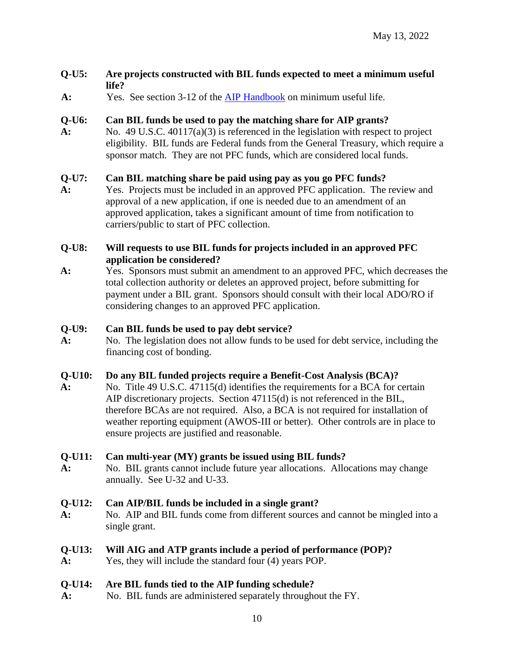#### **Q-U5: Are projects constructed with BIL funds expected to meet a minimum useful life?**

**A:** Yes. See section 3-12 of the [AIP Handbook](https://www.faa.gov/airports/aip/aip_handbook/) on minimum useful life.

#### **Q-U6: Can BIL funds be used to pay the matching share for AIP grants?**

**A:** No. 49 U.S.C. 40117(a)(3) is referenced in the legislation with respect to project eligibility. BIL funds are Federal funds from the General Treasury, which require a sponsor match. They are not PFC funds, which are considered local funds.

#### **Q-U7: Can BIL matching share be paid using pay as you go PFC funds?**

**A:** Yes. Projects must be included in an approved PFC application. The review and approval of a new application, if one is needed due to an amendment of an approved application, takes a significant amount of time from notification to carriers/public to start of PFC collection.

#### **Q-U8: Will requests to use BIL funds for projects included in an approved PFC application be considered?**

**A:** Yes.Sponsors must submit an amendment to an approved PFC, which decreases the total collection authority or deletes an approved project, before submitting for payment under a BIL grant. Sponsors should consult with their local ADO/RO if considering changes to an approved PFC application.

#### **Q-U9: Can BIL funds be used to pay debt service?**

**A:** No. The legislation does not allow funds to be used for debt service, including the financing cost of bonding.

#### **Q-U10: Do any BIL funded projects require a Benefit-Cost Analysis (BCA)?**

**A:** No. Title 49 U.S.C. 47115(d) identifies the requirements for a BCA for certain AIP discretionary projects. Section 47115(d) is not referenced in the BIL, therefore BCAs are not required. Also, a BCA is not required for installation of weather reporting equipment (AWOS-III or better). Other controls are in place to ensure projects are justified and reasonable.

#### **Q-U11: Can multi-year (MY) grants be issued using BIL funds?**

**A:** No. BIL grants cannot include future year allocations. Allocations may change annually. See U-32 and U-33.

#### **Q-U12: Can AIP/BIL funds be included in a single grant?**

**A:** No. AIP and BIL funds come from different sources and cannot be mingled into a single grant.

#### **Q-U13: Will AIG and ATP grants include a period of performance (POP)?**

**A:** Yes, they will include the standard four (4) years POP.

#### **Q-U14: Are BIL funds tied to the AIP funding schedule?**

**A:** No. BIL funds are administered separately throughout the FY.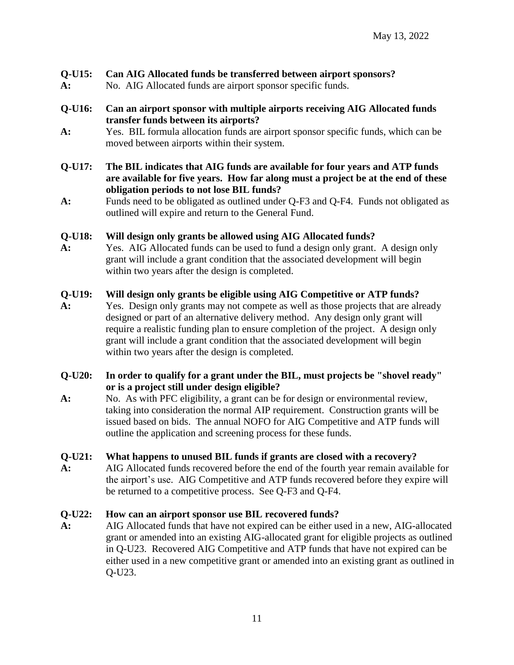#### **Q-U15: Can AIG Allocated funds be transferred between airport sponsors?**

**A:** No. AIG Allocated funds are airport sponsor specific funds.

#### **Q-U16: Can an airport sponsor with multiple airports receiving AIG Allocated funds transfer funds between its airports?**

- **A:** Yes. BIL formula allocation funds are airport sponsor specific funds, which can be moved between airports within their system.
- **Q-U17: The BIL indicates that AIG funds are available for four years and ATP funds are available for five years. How far along must a project be at the end of these obligation periods to not lose BIL funds?**
- **A:** Funds need to be obligated as outlined under Q-F3 and Q-F4. Funds not obligated as outlined will expire and return to the General Fund.

#### **Q-U18: Will design only grants be allowed using AIG Allocated funds?**

**A:** Yes.AIG Allocated funds can be used to fund a design only grant. A design only grant will include a grant condition that the associated development will begin within two years after the design is completed.

#### **Q-U19: Will design only grants be eligible using AIG Competitive or ATP funds?**

**A:** Yes.Design only grants may not compete as well as those projects that are already designed or part of an alternative delivery method. Any design only grant will require a realistic funding plan to ensure completion of the project. A design only grant will include a grant condition that the associated development will begin within two years after the design is completed.

#### **Q-U20: In order to qualify for a grant under the BIL, must projects be "shovel ready" or is a project still under design eligible?**

**A:** No. As with PFC eligibility, a grant can be for design or environmental review, taking into consideration the normal AIP requirement.Construction grants will be issued based on bids. The annual NOFO for AIG Competitive and ATP funds will outline the application and screening process for these funds.

#### **Q-U21: What happens to unused BIL funds if grants are closed with a recovery?**

**A:** AIG Allocated funds recovered before the end of the fourth year remain available for the airport's use. AIG Competitive and ATP funds recovered before they expire will be returned to a competitive process. See Q-F3 and Q-F4.

#### **Q-U22: How can an airport sponsor use BIL recovered funds?**

**A:** AIG Allocated funds that have not expired can be either used in a new, AIG-allocated grant or amended into an existing AIG-allocated grant for eligible projects as outlined in Q-U23. Recovered AIG Competitive and ATP funds that have not expired can be either used in a new competitive grant or amended into an existing grant as outlined in Q-U23.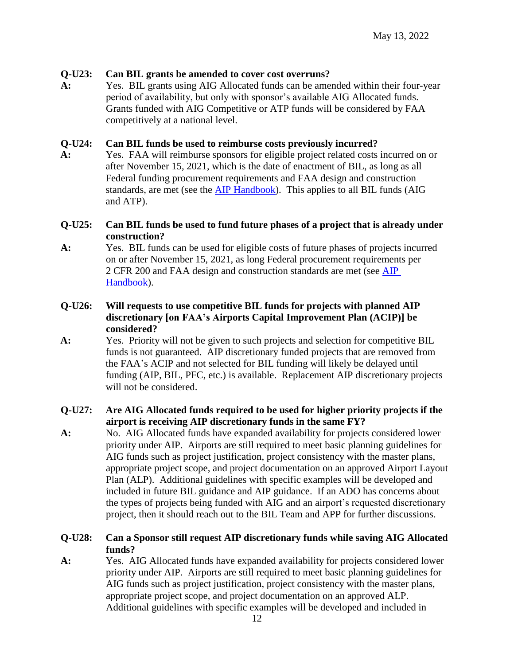#### **Q-U23: Can BIL grants be amended to cover cost overruns?**

**A:** Yes.BIL grants using AIG Allocated funds can be amended within their four-year period of availability, but only with sponsor's available AIG Allocated funds. Grants funded with AIG Competitive or ATP funds will be considered by FAA competitively at a national level.

#### **Q-U24: Can BIL funds be used to reimburse costs previously incurred?**

**A:** Yes. FAA will reimburse sponsors for eligible project related costs incurred on or after November 15, 2021, which is the date of enactment of BIL, as long as all Federal funding procurement requirements and FAA design and construction standards, are met (see the [AIP Handbook\)](https://www.faa.gov/airports/aip/aip_handbook/). This applies to all BIL funds (AIG and ATP).

#### **Q-U25: Can BIL funds be used to fund future phases of a project that is already under construction?**

- **A:** Yes.BIL funds can be used for eligible costs of future phases of projects incurred on or after November 15, 2021, as long Federal procurement requirements per 2 CFR 200 and FAA design and construction standards are met (see [AIP](https://www.faa.gov/airports/aip/aip_handbook/)  [Handbook\)](https://www.faa.gov/airports/aip/aip_handbook/).
- **Q-U26: Will requests to use competitive BIL funds for projects with planned AIP discretionary [on FAA's Airports Capital Improvement Plan (ACIP)] be considered?**
- **A:** Yes.Priority will not be given to such projects and selection for competitive BIL funds is not guaranteed. AIP discretionary funded projects that are removed from the FAA's ACIP and not selected for BIL funding will likely be delayed until funding (AIP, BIL, PFC, etc.) is available. Replacement AIP discretionary projects will not be considered.

#### **Q-U27: Are AIG Allocated funds required to be used for higher priority projects if the airport is receiving AIP discretionary funds in the same FY?**

**A:** No. AIG Allocated funds have expanded availability for projects considered lower priority under AIP. Airports are still required to meet basic planning guidelines for AIG funds such as project justification, project consistency with the master plans, appropriate project scope, and project documentation on an approved Airport Layout Plan (ALP). Additional guidelines with specific examples will be developed and included in future BIL guidance and AIP guidance. If an ADO has concerns about the types of projects being funded with AIG and an airport's requested discretionary project, then it should reach out to the BIL Team and APP for further discussions.

#### **Q-U28: Can a Sponsor still request AIP discretionary funds while saving AIG Allocated funds?**

**A:** Yes. AIG Allocated funds have expanded availability for projects considered lower priority under AIP. Airports are still required to meet basic planning guidelines for AIG funds such as project justification, project consistency with the master plans, appropriate project scope, and project documentation on an approved ALP. Additional guidelines with specific examples will be developed and included in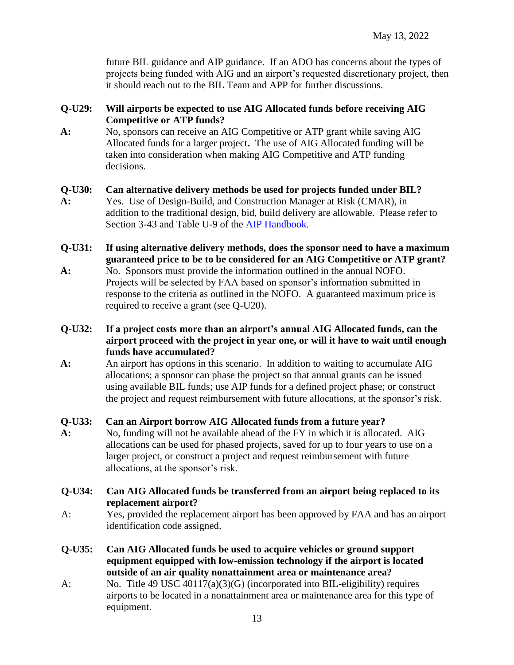future BIL guidance and AIP guidance. If an ADO has concerns about the types of projects being funded with AIG and an airport's requested discretionary project, then it should reach out to the BIL Team and APP for further discussions.

#### **Q-U29: Will airports be expected to use AIG Allocated funds before receiving AIG Competitive or ATP funds?**

**A:** No, sponsors can receive an AIG Competitive or ATP grant while saving AIG Allocated funds for a larger project**.** The use of AIG Allocated funding will be taken into consideration when making AIG Competitive and ATP funding decisions.

#### **Q-U30: Can alternative delivery methods be used for projects funded under BIL?**

- **A:** Yes. Use of Design-Build, and Construction Manager at Risk (CMAR), in addition to the traditional design, bid, build delivery are allowable. Please refer to Section 3-43 and Table U-9 of the [AIP Handbook.](https://www.faa.gov/airports/aip/aip_handbook/)
- **Q-U31: If using alternative delivery methods, does the sponsor need to have a maximum guaranteed price to be to be considered for an AIG Competitive or ATP grant?**
- **A:** No.Sponsors must provide the information outlined in the annual NOFO. Projects will be selected by FAA based on sponsor's information submitted in response to the criteria as outlined in the NOFO. A guaranteed maximum price is required to receive a grant (see Q-U20).
- **Q-U32: If a project costs more than an airport's annual AIG Allocated funds, can the airport proceed with the project in year one, or will it have to wait until enough funds have accumulated?**
- **A:** An airport has options in this scenario. In addition to waiting to accumulate AIG allocations; a sponsor can phase the project so that annual grants can be issued using available BIL funds; use AIP funds for a defined project phase; or construct the project and request reimbursement with future allocations, at the sponsor's risk.

#### **Q-U33: Can an Airport borrow AIG Allocated funds from a future year?**

- **A:** No, funding will not be available ahead of the FY in which it is allocated. AIG allocations can be used for phased projects, saved for up to four years to use on a larger project, or construct a project and request reimbursement with future allocations, at the sponsor's risk.
- **Q-U34: Can AIG Allocated funds be transferred from an airport being replaced to its replacement airport?**
- A: Yes, provided the replacement airport has been approved by FAA and has an airport identification code assigned.
- **Q-U35: Can AIG Allocated funds be used to acquire vehicles or ground support equipment equipped with low-emission technology if the airport is located outside of an air quality nonattainment area or maintenance area?**
- A: No. Title 49 USC 40117(a)(3)(G) (incorporated into BIL-eligibility) requires airports to be located in a nonattainment area or maintenance area for this type of equipment.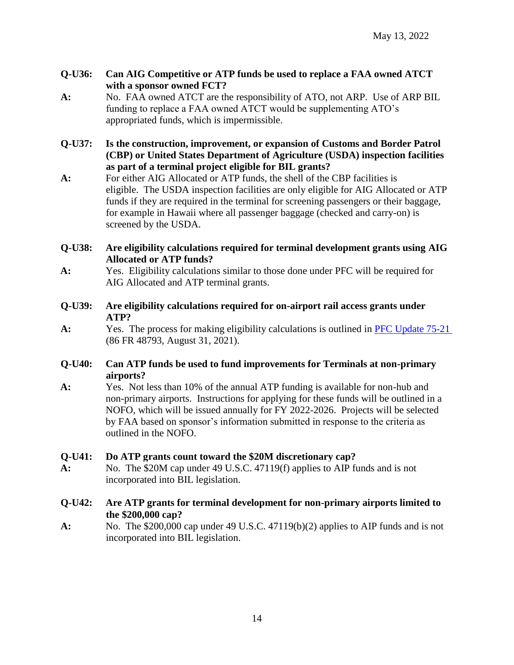#### **Q-U36: Can AIG Competitive or ATP funds be used to replace a FAA owned ATCT with a sponsor owned FCT?**

- **A:** No. FAA owned ATCT are the responsibility of ATO, not ARP. Use of ARP BIL funding to replace a FAA owned ATCT would be supplementing ATO's appropriated funds, which is impermissible.
- **Q-U37: Is the construction, improvement, or expansion of Customs and Border Patrol (CBP) or United States Department of Agriculture (USDA) inspection facilities as part of a terminal project eligible for BIL grants?**
- **A:** For either AIG Allocated or ATP funds, the shell of the CBP facilities is eligible. The USDA inspection facilities are only eligible for AIG Allocated or ATP funds if they are required in the terminal for screening passengers or their baggage, for example in Hawaii where all passenger baggage (checked and carry-on) is screened by the USDA.

#### **Q-U38: Are eligibility calculations required for terminal development grants using AIG Allocated or ATP funds?**

- **A:** Yes. Eligibility calculations similar to those done under PFC will be required for AIG Allocated and ATP terminal grants.
- **Q-U39: Are eligibility calculations required for on-airport rail access grants under ATP?**
- **A:** Yes. The process for making eligibility calculations is outlined in [PFC Update 75-21](https://www.faa.gov/airports/pfc/pfc_updates/) (86 FR 48793, August 31, 2021).

#### **Q-U40: Can ATP funds be used to fund improvements for Terminals at non-primary airports?**

**A:** Yes. Not less than 10% of the annual ATP funding is available for non-hub and non-primary airports. Instructions for applying for these funds will be outlined in a NOFO, which will be issued annually for FY 2022-2026. Projects will be selected by FAA based on sponsor's information submitted in response to the criteria as outlined in the NOFO.

#### **Q-U41: Do ATP grants count toward the \$20M discretionary cap?**

**A:** No. The \$20M cap under 49 U.S.C. 47119(f) applies to AIP funds and is not incorporated into BIL legislation.

#### **Q-U42: Are ATP grants for terminal development for non-primary airports limited to the \$200,000 cap?**

**A:** No. The \$200,000 cap under 49 U.S.C. 47119(b)(2) applies to AIP funds and is not incorporated into BIL legislation.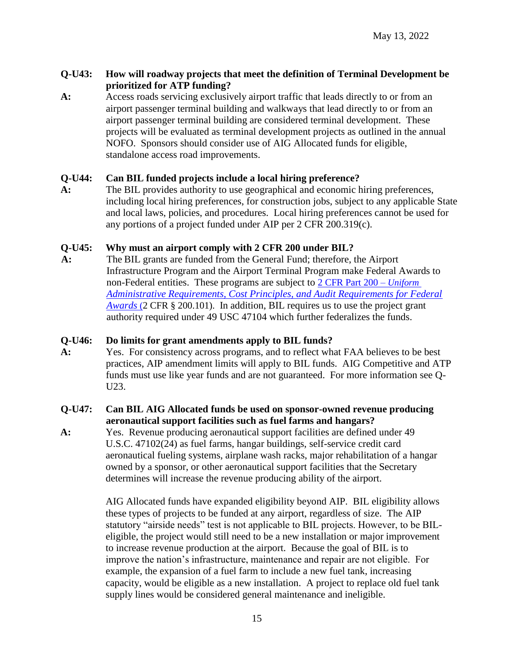#### **Q-U43: How will roadway projects that meet the definition of Terminal Development be prioritized for ATP funding?**

**A:** Access roads servicing exclusively airport traffic that leads directly to or from an airport passenger terminal building and walkways that lead directly to or from an airport passenger terminal building are considered terminal development. These projects will be evaluated as terminal development projects as outlined in the annual NOFO. Sponsors should consider use of AIG Allocated funds for eligible, standalone access road improvements.

#### **Q-U44: Can BIL funded projects include a local hiring preference?**

**A:** The BIL provides authority to use geographical and economic hiring preferences, including local hiring preferences, for construction jobs, subject to any applicable State and local laws, policies, and procedures. Local hiring preferences cannot be used for any portions of a project funded under AIP per 2 CFR 200.319(c).

#### **Q-U45: Why must an airport comply with 2 CFR 200 under BIL?**

**A:** The BIL grants are funded from the General Fund; therefore, the Airport Infrastructure Program and the Airport Terminal Program make Federal Awards to non-Federal entities. These programs are subject to 2 CFR [Part 200 –](https://www.ecfr.gov/current/title-2/subtitle-A/chapter-II/part-200) *Uniform [Administrative Requirements, Cost Principles, and Audit Requirements for Federal](https://www.ecfr.gov/current/title-2/subtitle-A/chapter-II/part-200)  [Awards](https://www.ecfr.gov/current/title-2/subtitle-A/chapter-II/part-200)* (2 CFR § 200.101). In addition, BIL requires us to use the project grant authority required under 49 USC 47104 which further federalizes the funds.

#### **Q-U46: Do limits for grant amendments apply to BIL funds?**

**A:** Yes. For consistency across programs, and to reflect what FAA believes to be best practices, AIP amendment limits will apply to BIL funds. AIG Competitive and ATP funds must use like year funds and are not guaranteed. For more information see Q-U23.

#### **Q-U47: Can BIL AIG Allocated funds be used on sponsor-owned revenue producing aeronautical support facilities such as fuel farms and hangars?**

**A:** Yes. Revenue producing aeronautical support facilities are defined under 49 U.S.C. 47102(24) as fuel farms, hangar buildings, self-service credit card aeronautical fueling systems, airplane wash racks, major rehabilitation of a hangar owned by a sponsor, or other aeronautical support facilities that the Secretary determines will increase the revenue producing ability of the airport.

> AIG Allocated funds have expanded eligibility beyond AIP. BIL eligibility allows these types of projects to be funded at any airport, regardless of size. The AIP statutory "airside needs" test is not applicable to BIL projects. However, to be BILeligible, the project would still need to be a new installation or major improvement to increase revenue production at the airport. Because the goal of BIL is to improve the nation's infrastructure, maintenance and repair are not eligible. For example, the expansion of a fuel farm to include a new fuel tank, increasing capacity, would be eligible as a new installation. A project to replace old fuel tank supply lines would be considered general maintenance and ineligible.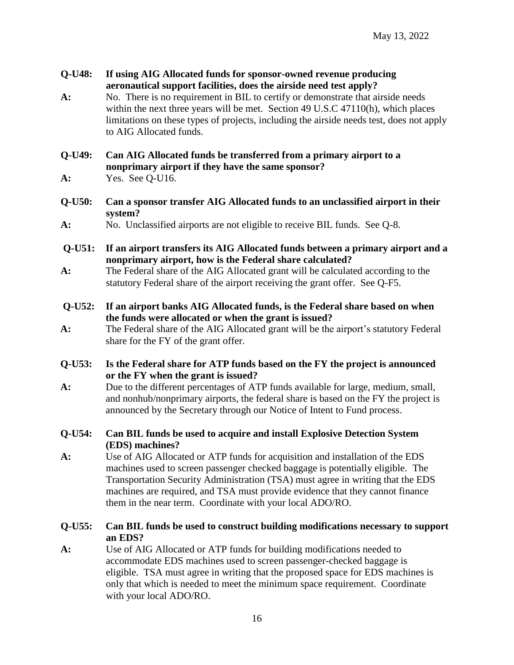**Q-U48: If using AIG Allocated funds for sponsor-owned revenue producing aeronautical support facilities, does the airside need test apply? A:** No. There is no requirement in BIL to certify or demonstrate that airside needs within the next three years will be met. Section 49 U.S.C 47110(h), which places limitations on these types of projects, including the airside needs test, does not apply to AIG Allocated funds. **Q-U49: Can AIG Allocated funds be transferred from a primary airport to a nonprimary airport if they have the same sponsor? A:** Yes. See Q-U16. **Q-U50: Can a sponsor transfer AIG Allocated funds to an unclassified airport in their system? A:** No. Unclassified airports are not eligible to receive BIL funds. See Q-8. **Q-U51: If an airport transfers its AIG Allocated funds between a primary airport and a nonprimary airport, how is the Federal share calculated? A:** The Federal share of the AIG Allocated grant will be calculated according to the statutory Federal share of the airport receiving the grant offer. See Q-F5. **Q-U52: If an airport banks AIG Allocated funds, is the Federal share based on when the funds were allocated or when the grant is issued? A:** The Federal share of the AIG Allocated grant will be the airport's statutory Federal share for the FY of the grant offer. **Q-U53: Is the Federal share for ATP funds based on the FY the project is announced or the FY when the grant is issued? A:** Due to the different percentages of ATP funds available for large, medium, small, and nonhub/nonprimary airports, the federal share is based on the FY the project is announced by the Secretary through our Notice of Intent to Fund process. **Q-U54: Can BIL funds be used to acquire and install Explosive Detection System (EDS) machines? A:** Use of AIG Allocated or ATP funds for acquisition and installation of the EDS machines used to screen passenger checked baggage is potentially eligible. The Transportation Security Administration (TSA) must agree in writing that the EDS machines are required, and TSA must provide evidence that they cannot finance them in the near term. Coordinate with your local ADO/RO. **Q-U55: Can BIL funds be used to construct building modifications necessary to support** 

**an EDS? A:** Use of AIG Allocated or ATP funds for building modifications needed to accommodate EDS machines used to screen passenger-checked baggage is eligible. TSA must agree in writing that the proposed space for EDS machines is only that which is needed to meet the minimum space requirement. Coordinate with your local ADO/RO.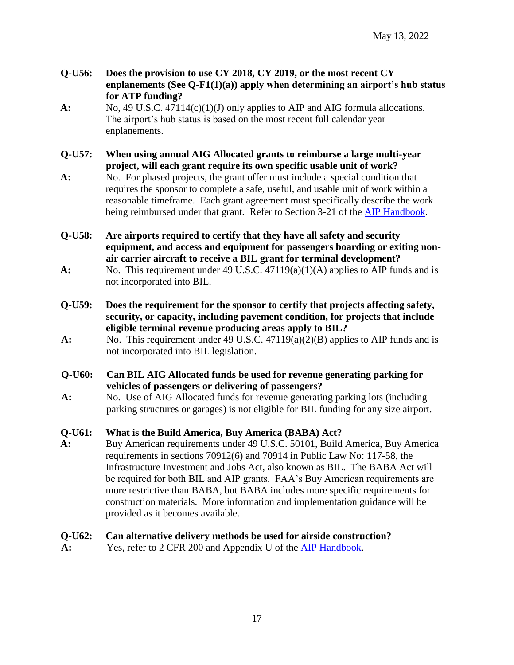- **Q-U56: Does the provision to use CY 2018, CY 2019, or the most recent CY enplanements (See Q-F1(1)(a)) apply when determining an airport's hub status for ATP funding?**
- **A:** No, 49 U.S.C. 47114(c)(1)(J) only applies to AIP and AIG formula allocations. The airport's hub status is based on the most recent full calendar year enplanements.
- **Q-U57: When using annual AIG Allocated grants to reimburse a large multi-year project, will each grant require its own specific usable unit of work?**
- **A:** No. For phased projects, the grant offer must include a special condition that requires the sponsor to complete a safe, useful, and usable unit of work within a reasonable timeframe. Each grant agreement must specifically describe the work being reimbursed under that grant. Refer to Section 3-21 of the **AIP Handbook**.
- **Q-U58: Are airports required to certify that they have all safety and security equipment, and access and equipment for passengers boarding or exiting nonair carrier aircraft to receive a BIL grant for terminal development?**
- **A:** No.This requirement under 49 U.S.C. 47119(a)(1)(A) applies to AIP funds and is not incorporated into BIL.
- **Q-U59: Does the requirement for the sponsor to certify that projects affecting safety, security, or capacity, including pavement condition, for projects that include eligible terminal revenue producing areas apply to BIL?**
- **A:** No.This requirement under 49 U.S.C. 47119(a)(2)(B) applies to AIP funds and is not incorporated into BIL legislation.
- **Q-U60: Can BIL AIG Allocated funds be used for revenue generating parking for vehicles of passengers or delivering of passengers?**
- **A:** No. Use of AIG Allocated funds for revenue generating parking lots (including parking structures or garages) is not eligible for BIL funding for any size airport.

#### **Q-U61: What is the Build America, Buy America (BABA) Act?**

**A:** Buy American requirements under 49 U.S.C. 50101, Build America, Buy America requirements in sections 70912(6) and 70914 in Public Law No: 117-58, the Infrastructure Investment and Jobs Act, also known as BIL. The BABA Act will be required for both BIL and AIP grants. FAA's Buy American requirements are more restrictive than BABA, but BABA includes more specific requirements for construction materials. More information and implementation guidance will be provided as it becomes available.

#### **Q-U62: Can alternative delivery methods be used for airside construction?**

**A:** Yes, refer to 2 CFR 200 and Appendix U of the [AIP Handbook.](https://www.faa.gov/airports/aip/aip_handbook/)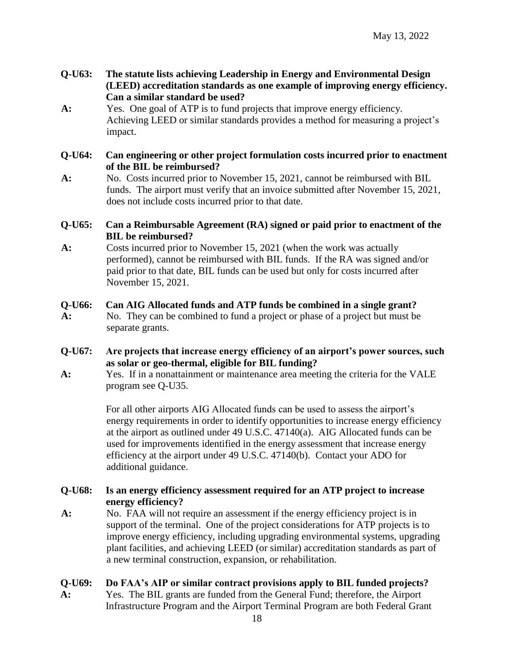- **Q-U63: The statute lists achieving Leadership in Energy and Environmental Design (LEED) accreditation standards as one example of improving energy efficiency. Can a similar standard be used?**
- **A:** Yes. One goal of ATP is to fund projects that improve energy efficiency. Achieving LEED or similar standards provides a method for measuring a project's impact.

#### **Q-U64: Can engineering or other project formulation costs incurred prior to enactment of the BIL be reimbursed?**

**A:** No.Costs incurred prior to November 15, 2021, cannot be reimbursed with BIL funds. The airport must verify that an invoice submitted after November 15, 2021, does not include costs incurred prior to that date.

#### **Q-U65: Can a Reimbursable Agreement (RA) signed or paid prior to enactment of the BIL be reimbursed?**

**A:** Costs incurred prior to November 15, 2021 (when the work was actually performed), cannot be reimbursed with BIL funds. If the RA was signed and/or paid prior to that date, BIL funds can be used but only for costs incurred after November 15, 2021.

#### **Q-U66: Can AIG Allocated funds and ATP funds be combined in a single grant?**

- **A:** No.They can be combined to fund a project or phase of a project but must be separate grants.
- **Q-U67: Are projects that increase energy efficiency of an airport's power sources, such as solar or geo-thermal, eligible for BIL funding?**
- **A:** Yes. If in a nonattainment or maintenance area meeting the criteria for the VALE program see Q-U35.

For all other airports AIG Allocated funds can be used to assess the airport's energy requirements in order to identify opportunities to increase energy efficiency at the airport as outlined under 49 U.S.C. 47140(a). AIG Allocated funds can be used for improvements identified in the energy assessment that increase energy efficiency at the airport under 49 U.S.C. 47140(b). Contact your ADO for additional guidance.

#### **Q-U68: Is an energy efficiency assessment required for an ATP project to increase energy efficiency?**

**A:** No. FAA will not require an assessment if the energy efficiency project is in support of the terminal. One of the project considerations for ATP projects is to improve energy efficiency, including upgrading environmental systems, upgrading plant facilities, and achieving LEED (or similar) accreditation standards as part of a new terminal construction, expansion, or rehabilitation.

#### **Q-U69: Do FAA's AIP or similar contract provisions apply to BIL funded projects?**

**A:** Yes. The BIL grants are funded from the General Fund; therefore, the Airport Infrastructure Program and the Airport Terminal Program are both Federal Grant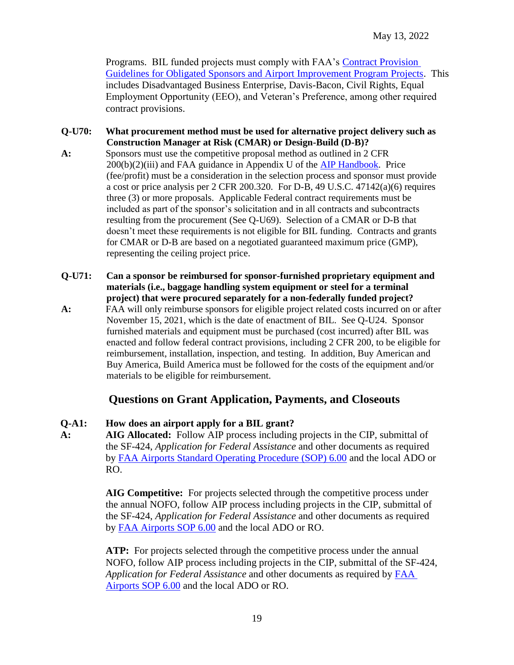Programs. BIL funded projects must comply with FAA's Contract Provision [Guidelines for Obligated Sponsors and Airport Improvement Program Projects.](https://www.faa.gov/airports/aip/procurement/federal_contract_provisions/) This includes Disadvantaged Business Enterprise, Davis-Bacon, Civil Rights, Equal Employment Opportunity (EEO), and Veteran's Preference, among other required contract provisions.

- **Q-U70: What procurement method must be used for alternative project delivery such as Construction Manager at Risk (CMAR) or Design-Build (D-B)?**
- **A:** Sponsors must use the competitive proposal method as outlined in 2 CFR  $200(b)(2)(iii)$  and FAA guidance in Appendix U of the [AIP Handbook.](https://www.faa.gov/airports/aip/aip_handbook/) Price (fee/profit) must be a consideration in the selection process and sponsor must provide a cost or price analysis per 2 CFR 200.320. For D-B, 49 U.S.C. 47142(a)(6) requires three (3) or more proposals. Applicable Federal contract requirements must be included as part of the sponsor's solicitation and in all contracts and subcontracts resulting from the procurement (See Q-U69). Selection of a CMAR or D-B that doesn't meet these requirements is not eligible for BIL funding. Contracts and grants for CMAR or D-B are based on a negotiated guaranteed maximum price (GMP), representing the ceiling project price.
- **Q-U71: Can a sponsor be reimbursed for sponsor-furnished proprietary equipment and materials (i.e., baggage handling system equipment or steel for a terminal project) that were procured separately for a non-federally funded project?**
- **A:** FAA will only reimburse sponsors for eligible project related costs incurred on or after November 15, 2021, which is the date of enactment of BIL. See Q-U24. Sponsor furnished materials and equipment must be purchased (cost incurred) after BIL was enacted and follow federal contract provisions, including 2 CFR 200, to be eligible for reimbursement, installation, inspection, and testing. In addition, Buy American and Buy America, Build America must be followed for the costs of the equipment and/or materials to be eligible for reimbursement.

## **Questions on Grant Application, Payments, and Closeouts**

#### **Q-A1: How does an airport apply for a BIL grant?**

**A: AIG Allocated:** Follow AIP process including projects in the CIP, submittal of the SF-424, *Application for Federal Assistance* and other documents as required by [FAA Airports Standard Operating Procedure \(SOP\) 6.00](https://www.faa.gov/airports/resources/sops/) and the local ADO or RO.

> **AIG Competitive:** For projects selected through the competitive process under the annual NOFO, follow AIP process including projects in the CIP, submittal of the SF-424, *Application for Federal Assistance* and other documents as required by [FAA Airports SOP 6.00](https://www.faa.gov/airports/resources/sops/) and the local ADO or RO.

ATP: For projects selected through the competitive process under the annual NOFO, follow AIP process including projects in the CIP, submittal of the SF-424, *Application for Federal Assistance* and other documents as required by [FAA](https://www.faa.gov/airports/resources/sops/)  [Airports SOP 6.00](https://www.faa.gov/airports/resources/sops/) and the local ADO or RO.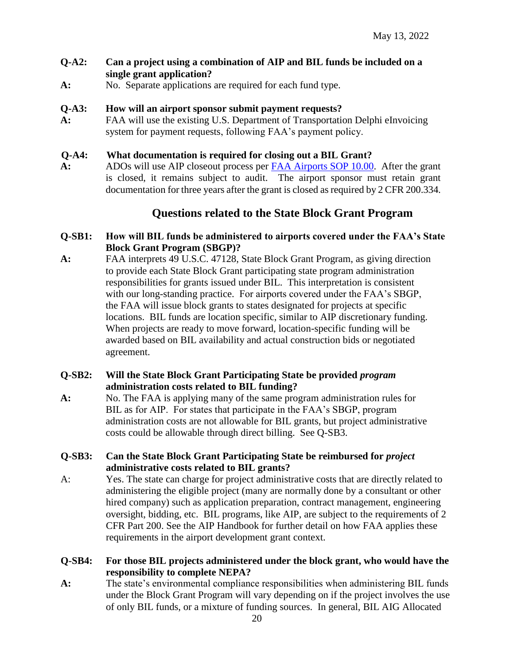#### Q-A2: Can a project using a combination of AIP and BIL funds be included on a **single grant application?**

**A:** No. Separate applications are required for each fund type.

#### **Q-A3: How will an airport sponsor submit payment requests?**

**A:** FAA will use the existing U.S. Department of Transportation Delphi eInvoicing system for payment requests, following FAA's payment policy.

#### **Q-A4: What documentation is required for closing out a BIL Grant?**

**A:** ADOs will use AIP closeout process per [FAA Airports SOP 10.00.](https://www.faa.gov/airports/resources/sops/) After the grant is closed, it remains subject to audit. The airport sponsor must retain grant documentation for three years after the grant is closed as required by 2 CFR 200.334.

## **Questions related to the State Block Grant Program**

#### **Q-SB1: How will BIL funds be administered to airports covered under the FAA's State Block Grant Program (SBGP)?**

**A:** FAA interprets 49 U.S.C. 47128, State Block Grant Program, as giving direction to provide each State Block Grant participating state program administration responsibilities for grants issued under BIL. This interpretation is consistent with our long-standing practice.For airports covered under the FAA's SBGP, the FAA will issue block grants to states designated for projects at specific locations. BIL funds are location specific, similar to AIP discretionary funding. When projects are ready to move forward, location-specific funding will be awarded based on BIL availability and actual construction bids or negotiated agreement.

#### **Q-SB2: Will the State Block Grant Participating State be provided** *program* **administration costs related to BIL funding?**

**A:** No. The FAA is applying many of the same program administration rules for BIL as for AIP. For states that participate in the FAA's SBGP, program administration costs are not allowable for BIL grants, but project administrative costs could be allowable through direct billing. See Q-SB3.

#### **Q-SB3: Can the State Block Grant Participating State be reimbursed for** *project* **administrative costs related to BIL grants?**

A: Yes. The state can charge for project administrative costs that are directly related to administering the eligible project (many are normally done by a consultant or other hired company) such as application preparation, contract management, engineering oversight, bidding, etc. BIL programs, like AIP, are subject to the requirements of 2 CFR Part 200. See the AIP Handbook for further detail on how FAA applies these requirements in the airport development grant context.

#### **Q-SB4: For those BIL projects administered under the block grant, who would have the responsibility to complete NEPA?**

**A:** The state's environmental compliance responsibilities when administering BIL funds under the Block Grant Program will vary depending on if the project involves the use of only BIL funds, or a mixture of funding sources. In general, BIL AIG Allocated